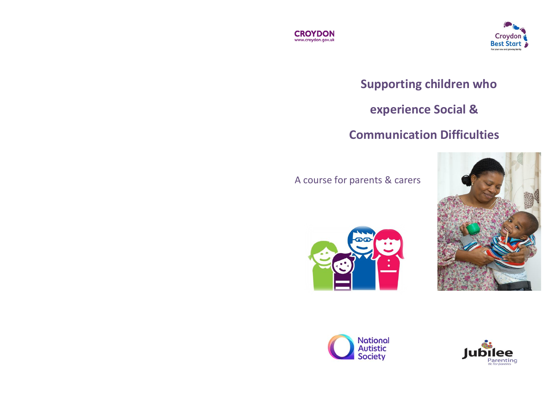



# **Supporting children who**

# **experience Social &**

## **Communication Difficulties**

#### A course for parents & carers